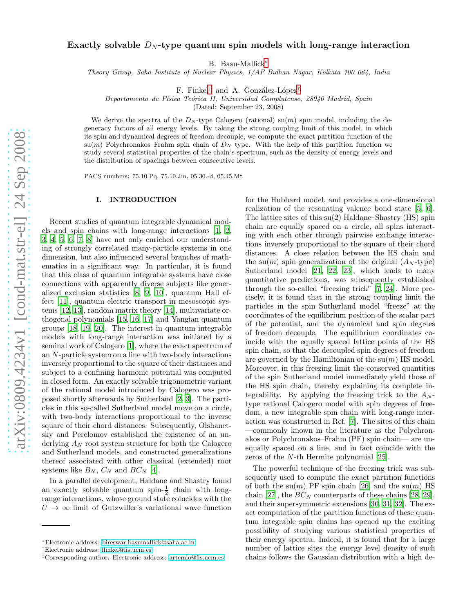# Exactly solvable  $D_N$ -type quantum spin models with long-range interaction

B. Basu-Mallick[∗](#page-0-0)

Theory Group, Saha Institute of Nuclear Physics, 1/AF Bidhan Nagar, Kolkata 700 064, India

F. Finkel<sup>[†](#page-0-1)</sup> and A. González-López<sup>[‡](#page-0-2)</sup>

Departamento de Física Teórica II, Universidad Complutense, 28040 Madrid, Spain

(Dated: September 23, 2008)

We derive the spectra of the  $D<sub>N</sub>$ -type Calogero (rational) su(m) spin model, including the degeneracy factors of all energy levels. By taking the strong coupling limit of this model, in which its spin and dynamical degrees of freedom decouple, we compute the exact partition function of the  $\text{su}(m)$  Polychronakos–Frahm spin chain of  $D_N$  type. With the help of this partition function we study several statistical properties of the chain's spectrum, such as the density of energy levels and the distribution of spacings between consecutive levels.

PACS numbers: 75.10.Pq, 75.10.Jm, 05.30.-d, 05.45.Mt

## I. INTRODUCTION

Recent studies of quantum integrable dynamical models and spin chains with long-range interactions [\[1](#page-10-0), [2](#page-10-1), [3](#page-10-2), [4,](#page-10-3) [5,](#page-10-4) [6](#page-10-5), [7,](#page-10-6) [8\]](#page-10-7) have not only enriched our understanding of strongly correlated many-particle systems in one dimension, but also influenced several branches of mathematics in a significant way. In particular, it is found that this class of quantum integrable systems have close connections with apparently diverse subjects like generalized exclusion statistics [\[8,](#page-10-7) [9,](#page-10-8) [10\]](#page-10-9), quantum Hall effect [\[11\]](#page-10-10), quantum electric transport in mesoscopic systems [\[12,](#page-10-11) [13](#page-10-12)], random matrix theory [\[14\]](#page-10-13), multivariate orthogonal polynomials [\[15](#page-10-14), [16,](#page-10-15) [17\]](#page-10-16) and Yangian quantum groups [\[18](#page-10-17), [19](#page-10-18), [20\]](#page-10-19). The interest in quantum integrable models with long-range interaction was initiated by a seminal work of Calogero [\[1](#page-10-0)], where the exact spectrum of an N-particle system on a line with two-body interactions inversely proportional to the square of their distances and subject to a confining harmonic potential was computed in closed form. An exactly solvable trigonometric variant of the rational model introduced by Calogero was proposed shortly afterwards by Sutherland [\[2](#page-10-1), [3\]](#page-10-2). The particles in this so-called Sutherland model move on a circle, with two-body interactions proportional to the inverse square of their chord distances. Subsequently, Olshanetsky and Perelomov established the existence of an underlying  $A_N$  root system structure for both the Calogero and Sutherland models, and constructed generalizations thereof associated with other classical (extended) root systems like  $B_N$ ,  $C_N$  and  $BC_N$  [\[4\]](#page-10-3).

In a parallel development, Haldane and Shastry found an exactly solvable quantum spin- $\frac{1}{2}$  chain with longrange interactions, whose ground state coincides with the  $U \rightarrow \infty$  limit of Gutzwiller's variational wave function

for the Hubbard model, and provides a one-dimensional realization of the resonating valence bond state [\[5,](#page-10-4) [6\]](#page-10-5). The lattice sites of this  $su(2)$  Haldane–Shastry (HS) spin chain are equally spaced on a circle, all spins interacting with each other through pairwise exchange interactions inversely proportional to the square of their chord distances. A close relation between the HS chain and the su(m) spin generalization of the original  $(A<sub>N</sub>-type)$ Sutherland model [\[21](#page-10-20), [22](#page-10-21), [23](#page-10-22)], which leads to many quantitative predictions, was subsequently established through the so-called "freezing trick" [\[7,](#page-10-6) [24\]](#page-10-23). More precisely, it is found that in the strong coupling limit the particles in the spin Sutherland model "freeze" at the coordinates of the equilibrium position of the scalar part of the potential, and the dynamical and spin degrees of freedom decouple. The equilibrium coordinates coincide with the equally spaced lattice points of the HS spin chain, so that the decoupled spin degrees of freedom are governed by the Hamiltonian of the  $su(m)$  HS model. Moreover, in this freezing limit the conserved quantities of the spin Sutherland model immediately yield those of the HS spin chain, thereby explaining its complete integrability. By applying the freezing trick to the  $A_N$ type rational Calogero model with spin degrees of freedom, a new integrable spin chain with long-range interaction was constructed in Ref. [\[7\]](#page-10-6). The sites of this chain —commonly known in the literature as the Polychronakos or Polychronakos–Frahm (PF) spin chain— are unequally spaced on a line, and in fact coincide with the zeros of the N-th Hermite polynomial [\[25](#page-10-24)].

The powerful technique of the freezing trick was subsequently used to compute the exact partition functions of both the su $(m)$  PF spin chain [\[26\]](#page-10-25) and the su $(m)$  HS chain [\[27\]](#page-10-26), the  $BC_N$  counterparts of these chains [\[28,](#page-10-27) [29\]](#page-10-28), and their supersymmetric extensions [\[30](#page-11-0), [31,](#page-11-1) [32\]](#page-11-2). The exact computation of the partition functions of these quantum integrable spin chains has opened up the exciting possibility of studying various statistical properties of their energy spectra. Indeed, it is found that for a large number of lattice sites the energy level density of such chains follows the Gaussian distribution with a high de-

<span id="page-0-0"></span><sup>∗</sup>Electronic address: [bireswar.basumallick@saha.ac.in](mailto:bireswar.basumallick@saha.ac.in)

<span id="page-0-1"></span><sup>†</sup>Electronic address: [ffinkel@fis.ucm.es](mailto:ffinkel@fis.ucm.es)

<span id="page-0-2"></span><sup>‡</sup>Corresponding author. Electronic address: [artemio@fis.ucm.es](mailto:artemio@fis.ucm.es)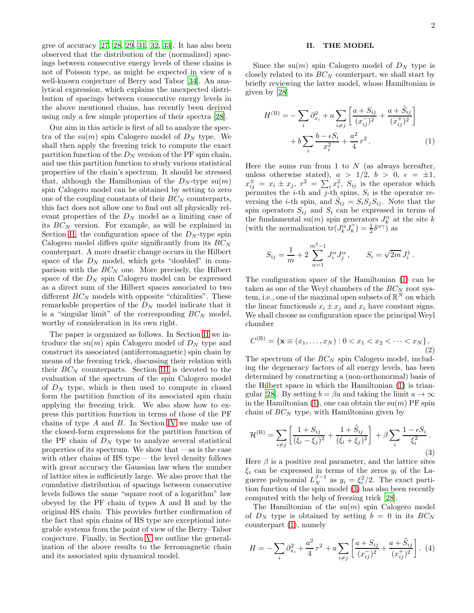gree of accuracy [\[27](#page-10-26), [28](#page-10-27), [29](#page-10-28), [31,](#page-11-1) [32,](#page-11-2) [33\]](#page-11-3). It has also been observed that the distribution of the (normalized) spacings between consecutive energy levels of these chains is not of Poisson type, as might be expected in view of a well-known conjecture of Berry and Tabor [\[34](#page-11-4)]. An analytical expression, which explains the unexpected distribution of spacings between consecutive energy levels in the above mentioned chains, has recently been derived using only a few simple properties of their spectra [\[28\]](#page-10-27).

Our aim in this article is first of all to analyze the spectra of the su $(m)$  spin Calogero model of  $D<sub>N</sub>$  type. We shall then apply the freezing trick to compute the exact partition function of the  $D<sub>N</sub>$  version of the PF spin chain, and use this partition function to study various statistical properties of the chain's spectrum. It should be stressed that, although the Hamiltonian of the  $D<sub>N</sub>$ -type su $(m)$ spin Calogero model can be obtained by setting to zero one of the coupling constants of their  $BC_N$  counterparts, this fact does not allow one to find out all physically relevant properties of the  $D<sub>N</sub>$  model as a limiting case of its  $BC_N$  version. For example, as will be explained in Section [II,](#page-1-0) the configuration space of the  $D<sub>N</sub>$ -type spin Calogero model differs quite significantly from its  $BC_N$ counterpart. A more drastic change occurs in the Hilbert space of the  $D<sub>N</sub>$  model, which gets "doubled" in comparison with the  $BC_N$  one. More precisely, the Hilbert space of the  $D<sub>N</sub>$  spin Calogero model can be expressed as a direct sum of the Hilbert spaces associated to two different  $BC_N$  models with opposite "chiralities". These remarkable properties of the  $D<sub>N</sub>$  model indicate that it is a "singular limit" of the corresponding  $BC_N$  model, worthy of consideration in its own right.

The paper is organized as follows. In Section [II](#page-1-0) we introduce the su $(m)$  spin Calogero model of  $D<sub>N</sub>$  type and construct its associated (antiferromagnetic) spin chain by means of the freezing trick, discussing their relation with their  $BC_N$  counterparts. Section [III](#page-3-0) is devoted to the evaluation of the spectrum of the spin Calogero model of  $D<sub>N</sub>$  type, which is then used to compute in closed form the partition function of its associated spin chain applying the freezing trick. We also show how to express this partition function in terms of those of the PF chains of type A and B. In Section [IV](#page-7-0) we make use of the closed-form expressions for the partition function of the PF chain of  $D<sub>N</sub>$  type to analyze several statistical properties of its spectrum. We show that —as is the case with other chains of HS type— the level density follows with great accuracy the Gaussian law when the number of lattice sites is sufficiently large. We also prove that the cumulative distribution of spacings between consecutive levels follows the same "square root of a logarithm" law obeyed by the PF chain of types A and B and by the original HS chain. This provides further confirmation of the fact that spin chains of HS type are exceptional integrable systems from the point of view of the Berry–Tabor conjecture. Finally, in Section [V](#page-9-0) we outline the generalization of the above results to the ferromagnetic chain and its associated spin dynamical model.

## <span id="page-1-1"></span><span id="page-1-0"></span>II. THE MODEL

Since the su $(m)$  spin Calogero model of  $D<sub>N</sub>$  type is closely related to its  $BC_N$  counterpart, we shall start by briefly reviewing the latter model, whose Hamiltonian is given by [\[28\]](#page-10-27)

$$
H^{(B)} = -\sum_{i} \partial_{x_i}^{2} + a \sum_{i \neq j} \left[ \frac{a + S_{ij}}{(x_{ij}^{-})^{2}} + \frac{a + \tilde{S}_{ij}}{(x_{ij}^{+})^{2}} \right] + b \sum_{i} \frac{b - \epsilon S_{i}}{x_{i}^{2}} + \frac{a^{2}}{4} r^{2}.
$$
 (1)

Here the sums run from 1 to  $N$  (as always hereafter, unless otherwise stated),  $a > 1/2$ ,  $b > 0$ ,  $\epsilon = \pm 1$ ,  $x_{ij}^{\pm} = x_i \pm x_j$ ,  $r^2 = \sum_i x_i^2$ ,  $S_{ij}$  is the operator which permutes the *i*-th and *j*-th spins,  $S_i$  is the operator reversing the *i*-th spin, and  $S_{ij} = S_i S_j S_{ij}$ . Note that the spin operators  $S_{ij}$  and  $S_i$  can be expressed in terms of the fundamental su $(m)$  spin generators  $J_k^{\alpha}$  at the site k (with the normalization  $tr(J_k^{\alpha} J_k^{\gamma}) = \frac{1}{2} \delta^{\alpha \gamma}$ ) as

$$
S_{ij} = \frac{1}{m} + 2 \sum_{\alpha=1}^{m^2-1} J_i^{\alpha} J_j^{\alpha} , \qquad S_i = \sqrt{2m} J_i^1 .
$$

The configuration space of the Hamiltonian [\(1\)](#page-1-1) can be taken as one of the Weyl chambers of the  $BC_N$  root system, i.e., one of the maximal open subsets of  $\mathbb{R}^N$  on which the linear functionals  $x_i \pm x_j$  and  $x_i$  have constant signs. We shall choose as configuration space the principal Weyl chamber

<span id="page-1-4"></span>
$$
C^{(\mathcal{B})} = \{ \mathbf{x} \equiv (x_1, \dots, x_N) : 0 < x_1 < x_2 < \dots < x_N \}. \tag{2}
$$

The spectrum of the  $BC_N$  spin Calogero model, including the degeneracy factors of all energy levels, has been determined by constructing a (non-orthonormal) basis of the Hilbert space in which the Hamiltonian [\(1\)](#page-1-1) is trian-gular [\[28\]](#page-10-27). By setting  $b = \beta a$  and taking the limit  $a \to \infty$ in the Hamiltonian [\(1\)](#page-1-1), one can obtain the  $su(m)$  PF spin chain of  $BC_N$  type, with Hamiltonian given by

<span id="page-1-2"></span>
$$
\mathcal{H}^{(\mathrm{B})} = \sum_{i \neq j} \left[ \frac{1 + S_{ij}}{(\xi_i - \xi_j)^2} + \frac{1 + \tilde{S}_{ij}}{(\xi_i + \xi_j)^2} \right] + \beta \sum_i \frac{1 - \epsilon S_i}{\xi_i^2}.
$$
\nThus,  $\beta$  is a positive real argument, and the lattice

\n
$$
(3)
$$

Here  $\beta$  is a positive real parameter, and the lattice sites  $\xi_i$  can be expressed in terms of the zeros  $y_i$  of the Laguerre polynomial  $L_N^{\beta-1}$  as  $y_i = \xi_i^2/2$ . The exact partition function of the spin model [\(3\)](#page-1-2) has also been recently computed with the help of freezing trick [\[28\]](#page-10-27).

The Hamiltonian of the  $su(m)$  spin Calogero model of  $D_N$  type is obtained by setting  $b = 0$  in its  $BC_N$ counterpart [\(1\)](#page-1-1), namely

<span id="page-1-3"></span>
$$
H = -\sum_{i} \partial_{x_i}^{2} + \frac{a^2}{4} r^2 + a \sum_{i \neq j} \left[ \frac{a + S_{ij}}{(x_{ij}^{-})^2} + \frac{a + \tilde{S}_{ij}}{(x_{ij}^{+})^2} \right]. \tag{4}
$$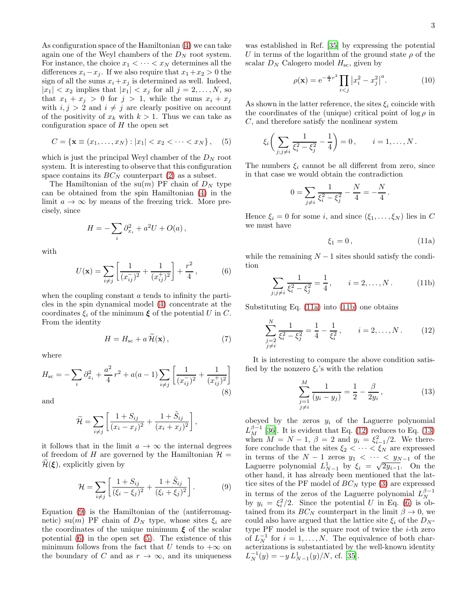As configuration space of the Hamiltonian [\(4\)](#page-1-3) we can take again one of the Weyl chambers of the  $D<sub>N</sub>$  root system. For instance, the choice  $x_1 < \cdots < x_N$  determines all the differences  $x_i - x_j$ . If we also require that  $x_1 + x_2 > 0$  the sign of all the sums  $x_i + x_j$  is determined as well. Indeed,  $|x_1| < x_2$  implies that  $|x_1| < x_j$  for all  $j = 2, \ldots, N$ , so that  $x_1 + x_j > 0$  for  $j > 1$ , while the sums  $x_i + x_j$ with  $i, j > 2$  and  $i \neq j$  are clearly positive on account of the positivity of  $x_k$  with  $k > 1$ . Thus we can take as configuration space of  $H$  the open set

<span id="page-2-2"></span>
$$
C = \{ \mathbf{x} \equiv (x_1, \dots, x_N) : |x_1| < x_2 < \dots < x_N \}, \quad (5)
$$

which is just the principal Weyl chamber of the  $D<sub>N</sub>$  root system. It is interesting to observe that this configuration space contains its  $BC_N$  counterpart [\(2\)](#page-1-4) as a subset.

The Hamiltonian of the su $(m)$  PF chain of  $D<sub>N</sub>$  type can be obtained from the spin Hamiltonian [\(4\)](#page-1-3) in the limit  $a \to \infty$  by means of the freezing trick. More precisely, since

$$
H = -\sum_{i} \partial_{x_i}^2 + a^2 U + O(a) ,
$$

with

<span id="page-2-1"></span>
$$
U(\mathbf{x}) = \sum_{i \neq j} \left[ \frac{1}{(x_{ij}^{-})^2} + \frac{1}{(x_{ij}^{+})^2} \right] + \frac{r^2}{4}, \quad (6)
$$

when the coupling constant a tends to infinity the particles in the spin dynamical model [\(4\)](#page-1-3) concentrate at the coordinates  $\xi_i$  of the minimum  $\xi$  of the potential U in C. From the identity

<span id="page-2-8"></span>
$$
H = H_{\rm sc} + a \,\widetilde{\mathcal{H}}(\mathbf{x})\,,\tag{7}
$$

where

<span id="page-2-7"></span>
$$
H_{\rm sc} = -\sum_{i} \partial_{x_i}^{2} + \frac{a^2}{4} r^2 + a(a-1) \sum_{i \neq j} \left[ \frac{1}{(x_{ij}^{-})^2} + \frac{1}{(x_{ij}^{+})^2} \right]
$$
\n(8)

and

$$
\widetilde{\mathcal{H}} = \sum_{i \neq j} \left[ \frac{1 + S_{ij}}{(x_i - x_j)^2} + \frac{1 + \widetilde{S}_{ij}}{(x_i + x_j)^2} \right],
$$

it follows that in the limit  $a \to \infty$  the internal degrees of freedom of H are governed by the Hamiltonian  $\mathcal{H} =$  $\mathcal{H}(\boldsymbol{\xi})$ , explicitly given by

<span id="page-2-0"></span>
$$
\mathcal{H} = \sum_{i \neq j} \left[ \frac{1 + S_{ij}}{(\xi_i - \xi_j)^2} + \frac{1 + \tilde{S}_{ij}}{(\xi_i + \xi_j)^2} \right].
$$
 (9)

Equation [\(9\)](#page-2-0) is the Hamiltonian of the (antiferromagnetic) su(m) PF chain of  $D<sub>N</sub>$  type, whose sites  $\xi_i$  are the coordinates of the unique minimum  $\xi$  of the scalar potential [\(6\)](#page-2-1) in the open set [\(5\)](#page-2-2). The existence of this minimum follows from the fact that U tends to  $+\infty$  on the boundary of C and as  $r \to \infty$ , and its uniqueness

was established in Ref. [\[35](#page-11-5)] by expressing the potential U in terms of the logarithm of the ground state  $\rho$  of the scalar  $D_N$  Calogero model  $H_{\text{sc}}$ , given by

$$
\rho(\mathbf{x}) = e^{-\frac{a}{4}r^2} \prod_{i < j} \left| x_i^2 - x_j^2 \right|^a. \tag{10}
$$

As shown in the latter reference, the sites  $\xi_i$  coincide with the coordinates of the (unique) critical point of  $\log \rho$  in C, and therefore satisfy the nonlinear system

$$
\xi_i \bigg( \sum_{j; j \neq i} \frac{1}{\xi_i^2 - \xi_j^2} - \frac{1}{4} \bigg) = 0, \quad i = 1, ..., N.
$$

The numbers  $\xi_i$  cannot be all different from zero, since in that case we would obtain the contradiction

$$
0 = \sum_{j \neq i} \frac{1}{\xi_i^2 - \xi_j^2} - \frac{N}{4} = -\frac{N}{4}.
$$

Hence  $\xi_i = 0$  for some *i*, and since  $(\xi_1, \ldots, \xi_N)$  lies in C we must have

<span id="page-2-3"></span>
$$
\xi_1 = 0, \qquad (11a)
$$

while the remaining  $N-1$  sites should satisfy the condition

<span id="page-2-4"></span>
$$
\sum_{i,j\neq i} \frac{1}{\xi_i^2 - \xi_j^2} = \frac{1}{4}, \qquad i = 2, \dots, N. \tag{11b}
$$

Substituting Eq. [\(11a\)](#page-2-3) into [\(11b\)](#page-2-4) one obtains

 $\boldsymbol{j}$ 

<span id="page-2-5"></span>
$$
\sum_{\substack{j=2\\j\neq i}}^N \frac{1}{\xi_i^2 - \xi_j^2} = \frac{1}{4} - \frac{1}{\xi_i^2}, \qquad i = 2, \dots, N. \tag{12}
$$

It is interesting to compare the above condition satisfied by the nonzero  $\xi_i$ 's with the relation

<span id="page-2-6"></span>
$$
\sum_{\substack{j=1 \ j \neq i}}^{M} \frac{1}{(y_i - y_j)} = \frac{1}{2} - \frac{\beta}{2y_i},
$$
\n(13)

obeyed by the zeros  $y_i$  of the Laguerre polynomial  $L_M^{\beta-1}$  [\[36](#page-11-6)]. It is evident that Eq. [\(12\)](#page-2-5) reduces to Eq. [\(13\)](#page-2-6) when  $M = N - 1$ ,  $\beta = 2$  and  $y_i = \xi_{i-1}^2/2$ . We therefore conclude that the sites  $\xi_2 < \cdots < \xi_N$  are expressed in terms of the  $N-1$  zeros  $y_1 < \cdots < y_{N-1}$  of the Laguerre polynomial  $L_{N-1}^1$  by  $\xi_i = \sqrt{2y_{i-1}}$ . On the other hand, it has already been mentioned that the lattice sites of the PF model of  $BC_N$  type [\(3\)](#page-1-2) are expressed in terms of the zeros of the Laguerre polynomial  $L_N^{\beta-1}$ by  $y_i = \xi_i^2/2$ . Since the potential U in Eq. [\(6\)](#page-2-1) is obtained from its  $BC_N$  counterpart in the limit  $\beta \to 0$ , we could also have argued that the lattice site  $\xi_i$  of the  $D_N$ type  $PF$  model is the square root of twice the  $i$ -th zero of  $L_N^{-1}$  for  $i = 1, ..., N$ . The equivalence of both char- $\alpha$  acterizations is substantiated by the well-known identity  $L_N^{-1}(y) = -y L_{N-1}^1(y)/N$ , cf. [\[35\]](#page-11-5).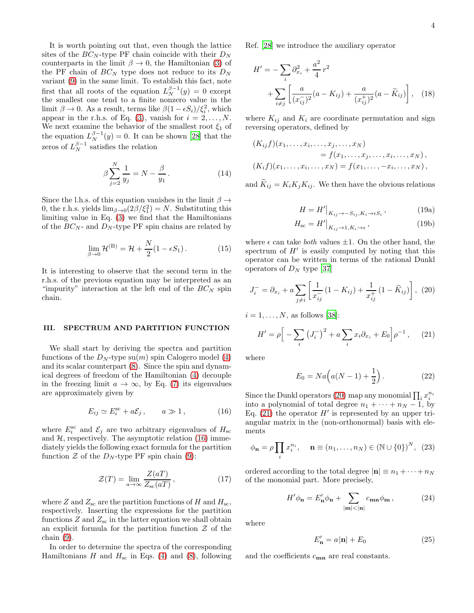It is worth pointing out that, even though the lattice sites of the  $BC_N$ -type PF chain coincide with their  $D_N$ counterparts in the limit  $\beta \to 0$ , the Hamiltonian [\(3\)](#page-1-2) of the PF chain of  $BC_N$  type does not reduce to its  $D_N$ variant [\(9\)](#page-2-0) in the same limit. To establish this fact, note first that all roots of the equation  $L_N^{\beta-1}(y) = 0$  except the smallest one tend to a finite nonzero value in the limit  $\beta \to 0$ . As a result, terms like  $\beta(1 - \epsilon S_i)/\xi_i^2$ , which appear in the r.h.s. of Eq. [\(3\)](#page-1-2), vanish for  $i = 2, ..., N$ . We next examine the behavior of the smallest root  $\xi_1$  of the equation  $L_N^{\beta-1}(y) = 0$ . It can be shown [\[28\]](#page-10-27) that the zeros of  $L_N^{\beta-1}$  satisfies the relation

$$
\beta \sum_{j=2}^{N} \frac{1}{y_j} = N - \frac{\beta}{y_1}.
$$
\n(14)

Since the l.h.s. of this equation vanishes in the limit  $\beta \rightarrow$ 0, the r.h.s. yields  $\lim_{\beta \to 0} (2\beta/\xi_1^2) = N$ . Substituting this limiting value in Eq. [\(3\)](#page-1-2) we find that the Hamiltonians of the  $BC_N$ - and  $D_N$ -type PF spin chains are related by

$$
\lim_{\beta \to 0} \mathcal{H}^{(\mathcal{B})} = \mathcal{H} + \frac{N}{2} (1 - \epsilon S_1). \tag{15}
$$

It is interesting to observe that the second term in the r.h.s. of the previous equation may be interpreted as an "impurity" interaction at the left end of the  $BC_N$  spin chain.

## <span id="page-3-0"></span>III. SPECTRUM AND PARTITION FUNCTION

We shall start by deriving the spectra and partition functions of the  $D<sub>N</sub>$ -type su $(m)$  spin Calogero model [\(4\)](#page-1-3) and its scalar counterpart [\(8\)](#page-2-7). Since the spin and dynamical degrees of freedom of the Hamiltonian [\(4\)](#page-1-3) decouple in the freezing limit  $a \to \infty$ , by Eq. [\(7\)](#page-2-8) its eigenvalues are approximately given by

<span id="page-3-1"></span>
$$
E_{ij} \simeq E_i^{\text{sc}} + a\mathcal{E}_j \,, \qquad a \gg 1 \,, \tag{16}
$$

where  $E_i^{\text{sc}}$  and  $\mathcal{E}_j$  are two arbitrary eigenvalues of  $H_{\text{sc}}$ and  $H$ , respectively. The asymptotic relation [\(16\)](#page-3-1) immediately yields the following exact formula for the partition function  $\mathcal Z$  of the  $D_N$ -type PF spin chain [\(9\)](#page-2-0):

<span id="page-3-7"></span>
$$
\mathcal{Z}(T) = \lim_{a \to \infty} \frac{Z(aT)}{Z_{\rm sc}(aT)},\tag{17}
$$

where Z and  $Z_{\rm sc}$  are the partition functions of H and  $H_{\rm sc}$ , respectively. Inserting the expressions for the partition functions  $Z$  and  $Z_{\rm sc}$  in the latter equation we shall obtain an explicit formula for the partition function  $\mathcal Z$  of the chain [\(9\)](#page-2-0).

In order to determine the spectra of the corresponding Hamiltonians H and  $H<sub>sc</sub>$  in Eqs. [\(4\)](#page-1-3) and [\(8\)](#page-2-7), following Ref. [\[28\]](#page-10-27) we introduce the auxiliary operator

$$
H' = -\sum_{i} \partial_{x_i}^{2} + \frac{a^2}{4} r^2
$$
  
+ 
$$
\sum_{i \neq j} \left[ \frac{a}{(x_{ij}^{-})^2} (a - K_{ij}) + \frac{a}{(x_{ij}^{+})^2} (a - \tilde{K}_{ij}) \right], \quad (18)
$$

where  $K_{ij}$  and  $K_i$  are coordinate permutation and sign reversing operators, defined by

$$
(K_{ij}f)(x_1,...,x_i,...,x_j,...,x_N) = f(x_1,...,x_j,...,x_i,...,x_N),
$$
  
\n
$$
(K_i f)(x_1,...,x_i,...,x_N) = f(x_1,...,-x_i,...,x_N),
$$

and  $K_{ij} = K_i K_j K_{ij}$ . We then have the obvious relations

<span id="page-3-6"></span>
$$
H = H'|_{K_{ij} \to -S_{ij}, K_i \to \epsilon S_i},
$$
\n(19a)

$$
H_{\rm sc} = H' \big|_{K_{ij} \to 1, K_i \to \epsilon},\tag{19b}
$$

where  $\epsilon$  can take *both* values  $\pm 1$ . On the other hand, the spectrum of  $H'$  is easily computed by noting that this operator can be written in terms of the rational Dunkl operators of  $D<sub>N</sub>$  type [\[37\]](#page-11-7)

<span id="page-3-2"></span>
$$
J_i^- = \partial_{x_i} + a \sum_{j \neq i} \left[ \frac{1}{x_{ij}^-} (1 - K_{ij}) + \frac{1}{x_{ij}^+} (1 - \widetilde{K}_{ij}) \right], (20)
$$

 $i = 1, \ldots, N$ , as follows [\[38\]](#page-11-8):

<span id="page-3-3"></span>
$$
H' = \rho \Big[ -\sum_{i} \left( J_i^{-} \right)^2 + a \sum_{i} x_i \partial_{x_i} + E_0 \Big] \rho^{-1} \,, \tag{21}
$$

where

$$
E_0 = Na\left(a(N-1) + \frac{1}{2}\right).
$$
 (22)

Since the Dunkl operators [\(20\)](#page-3-2) map any monomial  $\prod_i x_i^{n_i}$ into a polynomial of total degree  $n_1 + \cdots + n_N - 1$ , by Eq.  $(21)$  the operator  $H'$  is represented by an upper triangular matrix in the (non-orthonormal) basis with elements

$$
\phi_{\mathbf{n}} = \rho \prod_i x_i^{n_i}, \quad \mathbf{n} \equiv (n_1, \dots, n_N) \in (\mathbb{N} \cup \{0\})^N, \tag{23}
$$

ordered according to the total degree  $|\mathbf{n}| \equiv n_1 + \cdots + n_N$ of the monomial part. More precisely,

<span id="page-3-4"></span>
$$
H'\phi_{\mathbf{n}} = E'_{\mathbf{n}}\phi_{\mathbf{n}} + \sum_{|\mathbf{m}| < |\mathbf{n}|} c_{\mathbf{m}\mathbf{n}}\phi_{\mathbf{m}},\tag{24}
$$

where

<span id="page-3-5"></span>
$$
E'_{\mathbf{n}} = a|\mathbf{n}| + E_0 \tag{25}
$$

and the coefficients  $c_{mn}$  are real constants.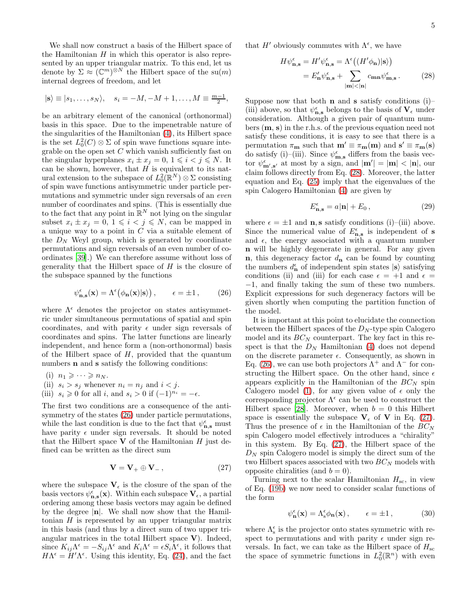We shall now construct a basis of the Hilbert space of the Hamiltonian  $H$  in which this operator is also represented by an upper triangular matrix. To this end, let us denote by  $\Sigma \approx (\mathbb{C}^m)^{\otimes N}$  the Hilbert space of the su $(m)$ internal degrees of freedom, and let

$$
|s\rangle \equiv |s_1,\ldots,s_N\rangle, \quad s_i = -M, -M+1,\ldots,M \equiv \frac{m-1}{2},
$$

be an arbitrary element of the canonical (orthonormal) basis in this space. Due to the impenetrable nature of the singularities of the Hamiltonian [\(4\)](#page-1-3), its Hilbert space is the set  $L_0^2(C) \otimes \Sigma$  of spin wave functions square integrable on the open set  $C$  which vanish sufficiently fast on the singular hyperplanes  $x_i \pm x_j = 0, 1 \leq i \leq j \leq N$ . It can be shown, however, that  $H$  is equivalent to its natural extension to the subspace of  $L_0^2(\mathbb{R}^N) \otimes \Sigma$  consisting of spin wave functions antisymmetric under particle permutations and symmetric under sign reversals of an even number of coordinates and spins. (This is essentially due to the fact that any point in  $\mathbb{R}^N$  not lying on the singular subset  $x_i \pm x_j = 0, 1 \leq i \leq j \leq N$ , can be mapped in a unique way to a point in  $C$  via a suitable element of the  $D<sub>N</sub>$  Weyl group, which is generated by coordinate permutations and sign reversals of an even number of coordinates [\[39\]](#page-11-9).) We can therefore assume without loss of generality that the Hilbert space of  $H$  is the closure of the subspace spanned by the functions

<span id="page-4-0"></span>
$$
\psi_{\mathbf{n},\mathbf{s}}^{\epsilon}(\mathbf{x}) = \Lambda^{\epsilon}(\phi_{\mathbf{n}}(\mathbf{x})|\mathbf{s}) , \qquad \epsilon = \pm 1 , \qquad (26)
$$

where  $\Lambda^{\epsilon}$  denotes the projector on states antisymmetric under simultaneous permutations of spatial and spin coordinates, and with parity  $\epsilon$  under sign reversals of coordinates and spins. The latter functions are linearly independent, and hence form a (non-orthonormal) basis of the Hilbert space of  $H$ , provided that the quantum numbers **n** and **s** satisfy the following conditions:

$$
(i) \ \ n_1 \geqslant \cdots \geqslant n_N.
$$

- (ii)  $s_i > s_j$  whenever  $n_i = n_j$  and  $i < j$ .
- (iii)  $s_i \geq 0$  for all i, and  $s_i > 0$  if  $(-1)^{n_i} = -\epsilon$ .

The first two conditions are a consequence of the antisymmetry of the states [\(26\)](#page-4-0) under particle permutations, while the last condition is due to the fact that  $\psi^\epsilon_{\mathbf{n},\mathbf{s}}$  must have parity  $\epsilon$  under sign reversals. It should be noted that the Hilbert space  $V$  of the Hamiltonian  $H$  just defined can be written as the direct sum

<span id="page-4-2"></span>
$$
\mathbf{V} = \mathbf{V}_{+} \oplus \mathbf{V}_{-} , \qquad (27)
$$

where the subspace  $V_{\epsilon}$  is the closure of the span of the basis vectors  $\psi_{\mathbf{n},\mathbf{s}}^{\epsilon}(\mathbf{x})$ . Within each subspace  $\mathbf{V}_{\epsilon}$ , a partial ordering among these basis vectors may again be defined by the degree  $|\mathbf{n}|$ . We shall now show that the Hamiltonian  $H$  is represented by an upper triangular matrix in this basis (and thus by a direct sum of two upper triangular matrices in the total Hilbert space  $V$ ). Indeed, since  $K_{ij}\Lambda^{\epsilon} = -S_{ij}\Lambda^{\epsilon}$  and  $K_{i}\Lambda^{\epsilon} = \epsilon S_{i}\Lambda^{\epsilon}$ , it follows that  $H\Lambda^{\epsilon} = H'\Lambda^{\epsilon}$ . Using this identity, Eq. [\(24\)](#page-3-4), and the fact

that  $H'$  obviously commutes with  $\Lambda^{\epsilon}$ , we have

<span id="page-4-1"></span>
$$
H\psi_{\mathbf{n},\mathbf{s}}^{\epsilon} = H'\psi_{\mathbf{n},\mathbf{s}}^{\epsilon} = \Lambda^{\epsilon} \big( (H'\phi_{\mathbf{n}})|\mathbf{s} \rangle \big)
$$
  
=  $E'_{\mathbf{n}}\psi_{\mathbf{n},\mathbf{s}}^{\epsilon} + \sum_{|\mathbf{m}| < |\mathbf{n}|} c_{\mathbf{m}\mathbf{n}} \psi_{\mathbf{m},\mathbf{s}}^{\epsilon}.$  (28)

Suppose now that both **n** and **s** satisfy conditions  $(i)$ – (iii) above, so that  $\psi^\epsilon_{\mathbf{n},\mathbf{s}}$  belongs to the basis of  $\mathbf{V}_\epsilon$  under consideration. Although a given pair of quantum numbers (m, s) in the r.h.s. of the previous equation need not satisfy these conditions, it is easy to see that there is a permutation  $\pi_{\mathbf{m}}$  such that  $\mathbf{m}' \equiv \pi_{\mathbf{m}}(\mathbf{m})$  and  $\mathbf{s}' \equiv \pi_{\mathbf{m}}(\mathbf{s})$ do satisfy (i)–(iii). Since  $\psi_{\mathbf{m},\mathbf{s}}^{\epsilon}$  differs from the basis vector  $\psi_{\mathbf{m}',\mathbf{s}'}^{\epsilon}$  at most by a sign, and  $|\mathbf{m}'| = |\mathbf{m}| < |\mathbf{n}|$ , our claim follows directly from Eq. [\(28\)](#page-4-1). Moreover, the latter equation and Eq. [\(25\)](#page-3-5) imply that the eigenvalues of the spin Calogero Hamiltonian [\(4\)](#page-1-3) are given by

<span id="page-4-4"></span>
$$
E_{\mathbf{n},\mathbf{s}}^{\epsilon} = a|\mathbf{n}| + E_0 ,\qquad (29)
$$

where  $\epsilon = \pm 1$  and **n**, **s** satisfy conditions (i)–(iii) above. Since the numerical value of  $E_{\mathbf{n},\mathbf{s}}^{\epsilon}$  is independent of s and  $\epsilon$ , the energy associated with a quantum number n will be highly degenerate in general. For any given **n**, this degeneracy factor  $d_{\mathbf{n}}$  can be found by counting the numbers  $d_{\mathbf{n}}^{\epsilon}$  of independent spin states  $|\mathbf{s}\rangle$  satisfying conditions (ii) and (iii) for each case  $\epsilon = +1$  and  $\epsilon =$ −1, and finally taking the sum of these two numbers. Explicit expressions for such degeneracy factors will be given shortly when computing the partition function of the model.

It is important at this point to elucidate the connection between the Hilbert spaces of the  $D<sub>N</sub>$ -type spin Calogero model and its  $BC_N$  counterpart. The key fact in this respect is that the  $D<sub>N</sub>$  Hamiltonian [\(4\)](#page-1-3) does not depend on the discrete parameter  $\epsilon$ . Consequently, as shown in Eq. [\(26\)](#page-4-0), we can use both projectors  $\Lambda^+$  and  $\Lambda^-$  for constructing the Hilbert space. On the other hand, since  $\epsilon$ appears explicitly in the Hamiltonian of the  $BC_N$  spin Calogero model [\(1\)](#page-1-1), for any given value of  $\epsilon$  only the corresponding projector  $\Lambda^{\epsilon}$  can be used to construct the Hilbert space [\[28\]](#page-10-27). Moreover, when  $b = 0$  this Hilbert space is essentially the subspace  $V_{\epsilon}$  of V in Eq. [\(27\)](#page-4-2). Thus the presence of  $\epsilon$  in the Hamiltonian of the  $BC_N$ spin Calogero model effectively introduces a "chirality" in this system. By Eq. [\(27\)](#page-4-2), the Hilbert space of the  $D<sub>N</sub>$  spin Calogero model is simply the direct sum of the two Hilbert spaces associated with two  $BC_N$  models with opposite chiralities (and  $b = 0$ ).

Turning next to the scalar Hamiltonian  $H_{\rm sc}$ , in view of Eq. [\(19b\)](#page-3-6) we now need to consider scalar functions of the form

<span id="page-4-3"></span>
$$
\psi_{\mathbf{n}}^{\epsilon}(\mathbf{x}) = \Lambda_{\mathbf{s}}^{\epsilon} \phi_{\mathbf{n}}(\mathbf{x}), \qquad \epsilon = \pm 1, \tag{30}
$$

where  $\Lambda_{\rm s}^\epsilon$  is the projector onto states symmetric with respect to permutations and with parity  $\epsilon$  under sign reversals. In fact, we can take as the Hilbert space of  $H_{sc}$ the space of symmetric functions in  $L_0^2(\mathbb{R}^n)$  with even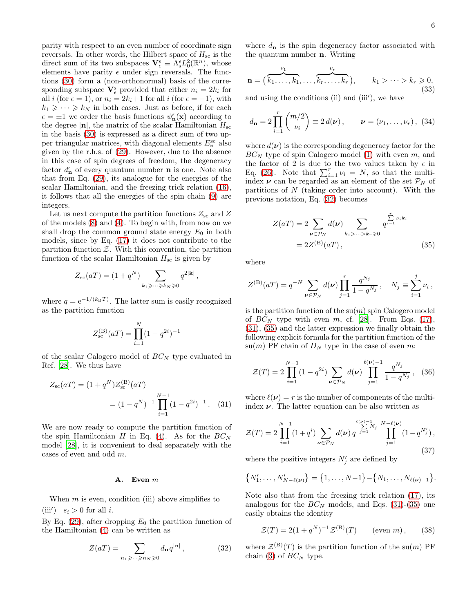parity with respect to an even number of coordinate sign reversals. In other words, the Hilbert space of  $H_{\rm sc}$  is the direct sum of its two subspaces  $\mathbf{V}_{\epsilon}^{\mathrm{s}} \equiv \Lambda_{\mathrm{s}}^{\epsilon} L_{0}^{2}(\mathbb{R}^{n})$ , whose elements have parity  $\epsilon$  under sign reversals. The functions [\(30\)](#page-4-3) form a (non-orthonormal) basis of the corresponding subspace  $\mathbf{V}_{\epsilon}^{\mathrm{s}}$  provided that either  $n_i = 2k_i$  for all i (for  $\epsilon = 1$ ), or  $n_i = 2k_i+1$  for all i (for  $\epsilon = -1$ ), with  $k_1 \geqslant \cdots \geqslant k_N$  in both cases. Just as before, if for each  $\epsilon = \pm 1$  we order the basis functions  $\psi_n^{\epsilon}(\mathbf{x})$  according to the degree  $|\mathbf{n}|$ , the matrix of the scalar Hamiltonian  $H_{\rm sc}$ in the basis [\(30\)](#page-4-3) is expressed as a direct sum of two upper triangular matrices, with diagonal elements  $E_{\mathbf{n}}^{\text{sc}}$  also given by the r.h.s. of [\(29\)](#page-4-4). However, due to the absence in this case of spin degrees of freedom, the degeneracy factor  $d_{\mathbf{n}}^{\epsilon}$  of every quantum number **n** is one. Note also that from Eq. [\(29\)](#page-4-4), its analogue for the energies of the scalar Hamiltonian, and the freezing trick relation [\(16\)](#page-3-1), it follows that all the energies of the spin chain [\(9\)](#page-2-0) are integers.

Let us next compute the partition functions  $Z_{\rm sc}$  and Z of the models [\(8\)](#page-2-7) and [\(4\)](#page-1-3). To begin with, from now on we shall drop the common ground state energy  $E_0$  in both models, since by Eq. [\(17\)](#page-3-7) it does not contribute to the partition function  $Z$ . With this convention, the partition function of the scalar Hamiltonian  $H_{\rm sc}$  is given by

$$
Z_{\rm sc}(aT)=(1+q^N)\sum_{k_1\geqslant \cdots \geqslant k_N\geqslant 0}q^{2|{\bf k}|}\,,
$$

where  $q = e^{-1/(k_B T)}$ . The latter sum is easily recognized as the partition function

$$
Z_{\rm sc}^{\rm (B)}(aT) = \prod_{i=1}^{N} (1 - q^{2i})^{-1}
$$

of the scalar Calogero model of  $BC_N$  type evaluated in Ref. [\[28\]](#page-10-27). We thus have

$$
Z_{\rm sc}(aT) = (1 + q^N) Z_{\rm sc}^{(\rm B)}(aT)
$$
  
=  $(1 - q^N)^{-1} \prod_{i=1}^{N-1} (1 - q^{2i})^{-1}$ . (31)

We are now ready to compute the partition function of the spin Hamiltonian H in Eq. [\(4\)](#page-1-3). As for the  $BC_N$ model [\[28](#page-10-27)], it is convenient to deal separately with the cases of even and odd m.

#### A. Even m

When  $m$  is even, condition (iii) above simplifies to (iii')  $s_i > 0$  for all *i*.

By Eq. [\(29\)](#page-4-4), after dropping  $E_0$  the partition function of the Hamiltonian [\(4\)](#page-1-3) can be written as

<span id="page-5-0"></span>
$$
Z(aT) = \sum_{n_1 \geqslant \cdots \geqslant n_N \geqslant 0} d_{\mathbf{n}} q^{|\mathbf{n}|}, \qquad (32)
$$

where  $d_{\mathbf{n}}$  is the spin degeneracy factor associated with the quantum number n. Writing

$$
\mathbf{n} = (\overbrace{k_1, \ldots, k_1}^{\nu_1}, \ldots, \overbrace{k_r, \ldots, k_r}^{\nu_r}), \qquad k_1 > \cdots > k_r \geqslant 0,
$$
\n(33)

and using the conditions (ii) and (iii′ ), we have

<span id="page-5-5"></span>
$$
d_{\mathbf{n}} = 2 \prod_{i=1}^{r} {m/2 \choose \nu_i} \equiv 2 d(\boldsymbol{\nu}), \qquad \boldsymbol{\nu} = (\nu_1, \dots, \nu_r), \ (34)
$$

where  $d(\nu)$  is the corresponding degeneracy factor for the  $BC_N$  type of spin Calogero model [\(1\)](#page-1-1) with even m, and the factor of 2 is due to the two values taken by  $\epsilon$  in Eq. [\(26\)](#page-4-0). Note that  $\sum_{i=1}^{r} \nu_i = N$ , so that the multiindex  $\nu$  can be regarded as an element of the set  $\mathcal{P}_N$  of partitions of  $N$  (taking order into account). With the previous notation, Eq. [\(32\)](#page-5-0) becomes

<span id="page-5-2"></span>
$$
Z(aT) = 2 \sum_{\nu \in \mathcal{P}_N} d(\nu) \sum_{k_1 > \dots > k_r \ge 0} \frac{\sum_{i=1}^r \nu_i k_i}{q^{i=1}}
$$
  
= 2Z<sup>(B)</sup>(aT), (35)

where

$$
Z^{(\mathrm{B})}(aT) = q^{-N} \sum_{\nu \in \mathcal{P}_N} d(\nu) \prod_{j=1}^r \frac{q^{N_j}}{1 - q^{N_j}}, \quad N_j \equiv \sum_{i=1}^j \nu_i,
$$

is the partition function of the  $su(m)$  spin Calogero model of  $BC_N$  type with even m, cf. [\[28](#page-10-27)]. From Eqs. [\(17\)](#page-3-7), [\(31\)](#page-5-1), [\(35\)](#page-5-2) and the latter expression we finally obtain the following explicit formula for the partition function of the su(m) PF chain of  $D<sub>N</sub>$  type in the case of even m:

<span id="page-5-6"></span>
$$
\mathcal{Z}(T) = 2 \prod_{i=1}^{N-1} (1 - q^{2i}) \sum_{\nu \in \mathcal{P}_N} d(\nu) \prod_{j=1}^{\ell(\nu)-1} \frac{q^{N_j}}{1 - q^{N_j}}, \quad (36)
$$

<span id="page-5-1"></span>where  $\ell(\nu) = r$  is the number of components of the multiindex  $\nu$ . The latter equation can be also written as

<span id="page-5-3"></span>
$$
\mathcal{Z}(T) = 2 \prod_{i=1}^{N-1} (1+q^i) \sum_{\nu \in \mathcal{P}_N} d(\nu) \, q^{\sum_{j=1}^{\ell(\nu)-1} N_j} \prod_{j=1}^{N-\ell(\nu)} (1-q^{N'_j}),
$$
\n(37)

where the positive integers  $N'_j$  are defined by

$$
\{N'_1,\ldots,N'_{N-\ell(\nu)}\}=\{1,\ldots,N-1\}-\{N_1,\ldots,N_{\ell(\nu)-1}\}.
$$

Note also that from the freezing trick relation [\(17\)](#page-3-7), its analogous for the  $BC_N$  models, and Eqs. [\(31\)](#page-5-1)-[\(35\)](#page-5-2) one easily obtains the identity

<span id="page-5-4"></span>
$$
\mathcal{Z}(T) = 2(1+q^N)^{-1}\mathcal{Z}^{(B)}(T) \qquad \text{(even } m), \qquad (38)
$$

where  $\mathcal{Z}^{(B)}(T)$  is the partition function of the su $(m)$  PF chain [\(3\)](#page-1-2) of  $BC_N$  type.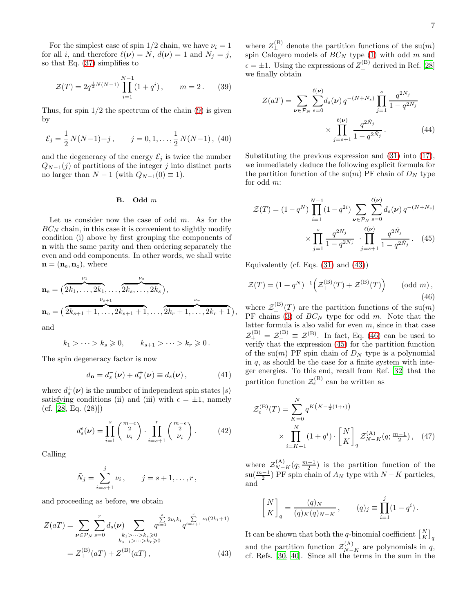For the simplest case of spin  $1/2$  chain, we have  $\nu_i = 1$ for all i, and therefore  $\ell(\nu) = N$ ,  $d(\nu) = 1$  and  $N_j = j$ , so that Eq. [\(37\)](#page-5-3) simplifies to

<span id="page-6-6"></span>
$$
\mathcal{Z}(T) = 2q^{\frac{1}{2}N(N-1)} \prod_{i=1}^{N-1} (1+q^i), \qquad m = 2. \tag{39}
$$

Thus, for spin  $1/2$  the spectrum of the chain  $(9)$  is given by

<span id="page-6-4"></span>
$$
\mathcal{E}_j = \frac{1}{2} N(N-1) + j, \qquad j = 0, 1, ..., \frac{1}{2} N(N-1),
$$
 (40)

and the degeneracy of the energy  $\mathcal{E}_j$  is twice the number  $Q_{N-1}(j)$  of partitions of the integer j into distinct parts no larger than  $N-1$  (with  $Q_{N-1}(0) \equiv 1$ ).

## B. Odd m

Let us consider now the case of odd  $m$ . As for the  $BC_N$  chain, in this case it is convenient to slightly modify condition (i) above by first grouping the components of n with the same parity and then ordering separately the even and odd components. In other words, we shall write  $\mathbf{n} = (\mathbf{n}_{e}, \mathbf{n}_{o}),$  where

$$
\mathbf{n}_{e} = (\overbrace{2k_{1}, \ldots, 2k_{1}, \ldots, 2k_{s}, \ldots, 2k_{s}}^{v_{1}},
$$
\n
$$
\mathbf{n}_{o} = (\overbrace{2k_{s+1}+1, \ldots, 2k_{s+1}+1}^{v_{s+1}}, \ldots, \overbrace{2k_{r}+1, \ldots, 2k_{r}+1}^{v_{r}})
$$

and

$$
k_1 > \cdots > k_s \geq 0, \qquad k_{s+1} > \cdots > k_r \geq 0.
$$

The spin degeneracy factor is now

<span id="page-6-5"></span>
$$
d_{\mathbf{n}} = d_s^-(\boldsymbol{\nu}) + d_s^+(\boldsymbol{\nu}) \equiv d_s(\boldsymbol{\nu}), \qquad (41)
$$

where  $d_s^{\pm}(\nu)$  is the number of independent spin states  $|s\rangle$ satisfying conditions (ii) and (iii) with  $\epsilon = \pm 1$ , namely  $(cf. [28, Eq. (28)])$  $(cf. [28, Eq. (28)])$  $(cf. [28, Eq. (28)])$ 

$$
d_s^{\epsilon}(\nu) = \prod_{i=1}^s \binom{\frac{m+\epsilon}{2}}{\nu_i} \cdot \prod_{i=s+1}^r \binom{\frac{m-\epsilon}{2}}{\nu_i}.
$$
 (42)

Calling

$$
\tilde{N}_j = \sum_{i=s+1}^j \nu_i, \qquad j = s+1, \ldots, r,
$$

and proceeding as before, we obtain

$$
Z(aT) = \sum_{\nu \in \mathcal{P}_N} \sum_{s=0}^r d_s(\nu) \sum_{\substack{k_1 > \dots > k_s \geq 0 \\ k_{s+1} > \dots > k_r \geq 0}} \sum_{q^{i=1}}^{s} 2^{\nu_i k_i} q^{i=s+1} \nu_i(2k_i+1)
$$
  
=  $Z_+^{(B)}(aT) + Z_-^{(B)}(aT)$ , (43)

where  $Z_{\pm}^{(\text{B})}$  denote the partition functions of the su $(m)$ spin Calogero models of  $BC_N$  type [\(1\)](#page-1-1) with odd m and  $\epsilon = \pm 1$ . Using the expressions of  $Z_{\pm}^{(\text{B})}$  derived in Ref. [\[28](#page-10-27)] we finally obtain

$$
Z(aT) = \sum_{\nu \in \mathcal{P}_N} \sum_{s=0}^{\ell(\nu)} d_s(\nu) q^{-(N+N_s)} \prod_{j=1}^s \frac{q^{2N_j}}{1 - q^{2N_j}} \times \prod_{j=s+1}^{\ell(\nu)} \frac{q^{2\tilde{N}_j}}{1 - q^{2\tilde{N}_j}}.
$$
 (44)

Substituting the previous expression and [\(31\)](#page-5-1) into [\(17\)](#page-3-7), we immediately deduce the following explicit formula for the partition function of the su $(m)$  PF chain of  $D<sub>N</sub>$  type for odd m:

<span id="page-6-2"></span>
$$
\mathcal{Z}(T) = (1 - q^N) \prod_{i=1}^{N-1} (1 - q^{2i}) \sum_{\nu \in \mathcal{P}_N} \sum_{s=0}^{\ell(\nu)} d_s(\nu) q^{-(N+N_s)}
$$

$$
\times \prod_{j=1}^s \frac{q^{2N_j}}{1 - q^{2N_j}} \cdot \prod_{j=s+1}^{\ell(\nu)} \frac{q^{2N_j}}{1 - q^{2N_j}}. \quad (45)
$$

Equivalently (cf. Eqs.  $(31)$  and  $(43)$ )

,

<span id="page-6-1"></span>
$$
\mathcal{Z}(T) = (1 + q^N)^{-1} \left( \mathcal{Z}_+^{(\mathcal{B})}(T) + \mathcal{Z}_-^{(\mathcal{B})}(T) \right) \qquad (\text{odd } m),
$$
\n(46)

where  $\mathcal{Z}_{\pm}^{(B)}(T)$  are the partition functions of the su $(m)$ PF chains [\(3\)](#page-1-2) of  $BC_N$  type for odd m. Note that the latter formula is also valid for even  $m$ , since in that case  $\mathcal{Z}_{+}^{(B)} = \mathcal{Z}_{-}^{(B)} \equiv \mathcal{Z}^{(B)}$ . In fact, Eq. [\(46\)](#page-6-1) can be used to verify that the expression [\(45\)](#page-6-2) for the partition function of the su $(m)$  PF spin chain of  $D<sub>N</sub>$  type is a polynomial in  $q$ , as should be the case for a finite system with integer energies. To this end, recall from Ref. [\[32\]](#page-11-2) that the partition function  $\mathcal{Z}_{\epsilon}^{(B)}$  can be written as

<span id="page-6-3"></span>
$$
\mathcal{Z}_{\epsilon}^{(\mathrm{B})}(T) = \sum_{K=0}^{N} q^{K(K-\frac{1}{2}(1+\epsilon))} \times \prod_{i=K+1}^{N} (1+q^{i}) \cdot \begin{bmatrix} N \\ K \end{bmatrix}_{q} \mathcal{Z}_{N-K}^{(\mathrm{A})}(q; \frac{m-1}{2}), \quad (47)
$$

where  $\mathcal{Z}_{N-K}^{(\mathbf{A})}(q;\frac{m-1}{2})$  is the partition function of the  $\text{su}(\frac{m-1}{2})$  PF spin chain of  $A_N$  type with  $N-K$  particles, and

$$
\begin{bmatrix} N \\ K \end{bmatrix}_q = \frac{(q)_N}{(q)_K (q)_{N-K}}, \qquad (q)_j \equiv \prod_{i=1}^j (1 - q^i).
$$

<span id="page-6-0"></span>It can be shown that both the q-binomial coefficient  $\begin{bmatrix} N \\ K \end{bmatrix}_q$ and the partition function  $\mathcal{Z}_{N-K}^{(A)}$  are polynomials in q, cf. Refs. [\[30](#page-11-0), [40\]](#page-11-10). Since all the terms in the sum in the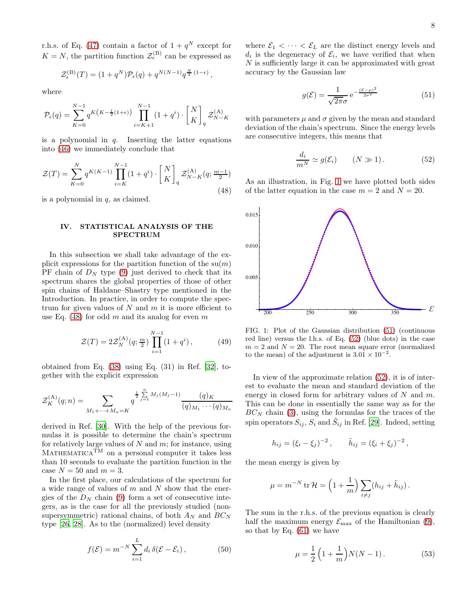r.h.s. of Eq. [\(47\)](#page-6-3) contain a factor of  $1 + q^N$  except for  $K = N$ , the partition function  $\mathcal{Z}_{\epsilon}^{(\text{B})}$  can be expressed as

$$
\mathcal{Z}_{\epsilon}^{(\mathrm{B})}(T) = (1+q^N)\mathcal{P}_{\epsilon}(q) + q^{N(N-1)}q^{\frac{N}{2}(1-\epsilon)},
$$

where

$$
\mathcal{P}_{\epsilon}(q) = \sum_{K=0}^{N-1} q^{K(K-\frac{1}{2}(1+\epsilon))} \prod_{i=K+1}^{N-1} (1+q^i) \cdot \begin{bmatrix} N \\ K \end{bmatrix}_q \mathcal{Z}_{N-K}^{(\text{A})}
$$

is a polynomial in  $q$ . Inserting the latter equations into [\(46\)](#page-6-1) we immediately conclude that

<span id="page-7-1"></span>
$$
\mathcal{Z}(T) = \sum_{K=0}^{N} q^{K(K-1)} \prod_{i=K}^{N-1} (1+q^i) \cdot \begin{bmatrix} N \\ K \end{bmatrix}_q \mathcal{Z}_{N-K}^{(\text{A})}(q; \frac{m-1}{2})
$$
\n(48)

is a polynomial in  $q$ , as claimed.

## <span id="page-7-0"></span>IV. STATISTICAL ANALYSIS OF THE SPECTRUM

In this subsection we shall take advantage of the explicit expressions for the partition function of the  $su(m)$ PF chain of  $D<sub>N</sub>$  type [\(9\)](#page-2-0) just derived to check that its spectrum shares the global properties of those of other spin chains of Haldane–Shastry type mentioned in the Introduction. In practice, in order to compute the spectrum for given values of  $N$  and  $m$  it is more efficient to use Eq. [\(48\)](#page-7-1) for odd m and its analog for even m

<span id="page-7-6"></span>
$$
\mathcal{Z}(T) = 2\mathcal{Z}_N^{(\mathbf{A})}(q; \frac{m}{2}) \prod_{i=1}^{N-1} (1 + q^i), \tag{49}
$$

obtained from Eq.  $(38)$  using Eq.  $(31)$  in Ref.  $[32]$ , together with the explicit expression

$$
\mathcal{Z}_{K}^{(\mathrm{A})}(q;n) = \sum_{M_{1}+\cdots+M_{n}=K} q^{\frac{1}{2}\sum_{j=1}^{n}M_{j}(M_{j}-1)}\frac{(q)_{K}}{(q)_{M_{1}}\cdots(q)_{M_{n}}}
$$

derived in Ref. [\[30\]](#page-11-0). With the help of the previous formulas it is possible to determine the chain's spectrum for relatively large values of  $N$  and  $m$ ; for instance, using  $MATHEMATICA^{\widetilde{TM}}$  on a personal computer it takes less than 10 seconds to evaluate the partition function in the case  $N = 50$  and  $m = 3$ .

In the first place, our calculations of the spectrum for a wide range of values of  $m$  and  $N$  show that the energies of the  $D<sub>N</sub>$  chain [\(9\)](#page-2-0) form a set of consecutive integers, as is the case for all the previously studied (nonsupersymmetric) rational chains, of both  $A_N$  and  $BC_N$ type [\[26](#page-10-25), [28](#page-10-27)]. As to the (normalized) level density

$$
f(\mathcal{E}) = m^{-N} \sum_{i=1}^{L} d_i \,\delta(\mathcal{E} - \mathcal{E}_i), \tag{50}
$$

where  $\mathcal{E}_1 < \cdots < \mathcal{E}_L$  are the distinct energy levels and  $d_i$  is the degeneracy of  $\mathcal{E}_i$ , we have verified that when  $N$  is sufficiently large it can be approximated with great accuracy by the Gaussian law

<span id="page-7-3"></span>
$$
g(\mathcal{E}) = \frac{1}{\sqrt{2\pi}\sigma} e^{-\frac{(\mathcal{E} - \mu)^2}{2\sigma^2}}
$$
(51)

with parameters  $\mu$  and  $\sigma$  given by the mean and standard deviation of the chain's spectrum. Since the energy levels are consecutive integers, this means that

<span id="page-7-4"></span>
$$
\frac{d_i}{m^N} \simeq g(\mathcal{E}_i) \qquad (N \gg 1). \tag{52}
$$

As an illustration, in Fig. [1](#page-7-2) we have plotted both sides of the latter equation in the case  $m = 2$  and  $N = 20$ .



<span id="page-7-2"></span>FIG. 1: Plot of the Gaussian distribution [\(51\)](#page-7-3) (continuous red line) versus the l.h.s. of Eq. [\(52\)](#page-7-4) (blue dots) in the case  $m = 2$  and  $N = 20$ . The root mean square error (normalized) to the mean) of the adjustment is  $3.01 \times 10^{-2}$ .

In view of the approximate relation [\(52\)](#page-7-4), it is of interest to evaluate the mean and standard deviation of the energy in closed form for arbitrary values of  $N$  and  $m$ . This can be done in essentially the same way as for the  $BC_N$  chain [\(3\)](#page-1-2), using the formulas for the traces of the spin operators  $S_{ij}$ ,  $S_i$  and  $\tilde{S}_{ij}$  in Ref. [\[29\]](#page-10-28). Indeed, setting

$$
h_{ij} = (\xi_i - \xi_j)^{-2}, \qquad \tilde{h}_{ij} = (\xi_i + \xi_j)^{-2},
$$

the mean energy is given by

$$
\mu = m^{-N} \operatorname{tr} \mathcal{H} = \left(1 + \frac{1}{m}\right) \sum_{i \neq j} (h_{ij} + \tilde{h}_{ij}).
$$

The sum in the r.h.s. of the previous equation is clearly half the maximum energy  $\mathcal{E}_{\text{max}}$  of the Hamiltonian [\(9\)](#page-2-0), so that by Eq. [\(61\)](#page-9-1) we have

<span id="page-7-5"></span>
$$
\mu = \frac{1}{2} \left( 1 + \frac{1}{m} \right) N(N - 1).
$$
 (53)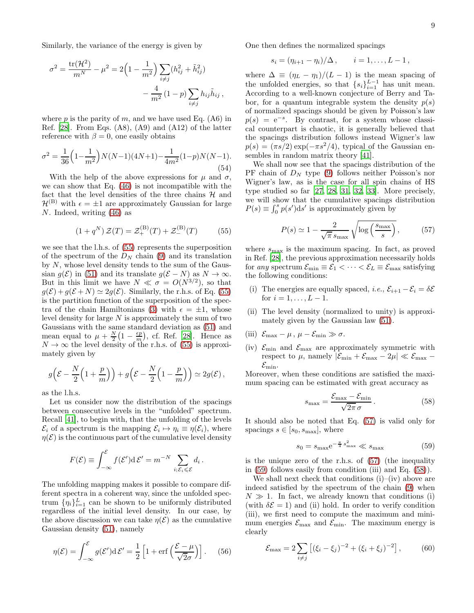Similarly, the variance of the energy is given by

$$
\sigma^{2} = \frac{\text{tr}(\mathcal{H}^{2})}{m^{N}} - \mu^{2} = 2\left(1 - \frac{1}{m^{2}}\right) \sum_{i \neq j} (h_{ij}^{2} + \tilde{h}_{ij}^{2}) - \frac{4}{m^{2}}\left(1 - p\right) \sum_{i \neq j} h_{ij} \tilde{h}_{ij},
$$

where  $p$  is the parity of  $m$ , and we have used Eq. (A6) in Ref.  $[28]$ . From Eqs.  $(A8)$ ,  $(A9)$  and  $(A12)$  of the latter reference with  $\beta = 0$ , one easily obtains

<span id="page-8-4"></span>
$$
\sigma^2 = \frac{1}{36} \left( 1 - \frac{1}{m^2} \right) N(N-1)(4N+1) - \frac{1}{4m^2} (1-p) N(N-1).
$$
\n(54)

With the help of the above expressions for  $\mu$  and  $\sigma$ , we can show that Eq. [\(46\)](#page-6-1) is not incompatible with the fact that the level densities of the three chains  $H$  and  $\mathcal{H}^{(B)}$  with  $\epsilon = \pm 1$  are approximately Gaussian for large N. Indeed, writing [\(46\)](#page-6-1) as

<span id="page-8-0"></span>
$$
(1 + q^N) \mathcal{Z}(T) = \mathcal{Z}_+^{(\mathrm{B})}(T) + \mathcal{Z}_-^{(\mathrm{B})}(T) \tag{55}
$$

we see that the l.h.s. of [\(55\)](#page-8-0) represents the superposition of the spectrum of the  $D_N$  chain [\(9\)](#page-2-0) and its translation by  $N$ , whose level density tends to the sum of the Gaussian  $g(\mathcal{E})$  in [\(51\)](#page-7-3) and its translate  $g(\mathcal{E} - N)$  as  $N \to \infty$ . But in this limit we have  $N \ll \sigma = O(N^{3/2})$ , so that  $g(\mathcal{E}) + g(\mathcal{E} + N) \simeq 2g(\mathcal{E})$ . Similarly, the r.h.s. of Eq. [\(55\)](#page-8-0) is the partition function of the superposition of the spec-tra of the chain Hamiltonians [\(3\)](#page-1-2) with  $\epsilon = \pm 1$ , whose level density for large  $N$  is approximately the sum of two Gaussians with the same standard deviation as [\(51\)](#page-7-3) and mean equal to  $\mu + \frac{N}{2} (1 - \frac{\epsilon p}{m}),$  cf. Ref. [\[28](#page-10-27)]. Hence as  $N \to \infty$  the level density of the r.h.s. of [\(55\)](#page-8-0) is approximately given by

$$
g\left(\mathcal{E} - \frac{N}{2}\left(1 + \frac{p}{m}\right)\right) + g\left(\mathcal{E} - \frac{N}{2}\left(1 - \frac{p}{m}\right)\right) \simeq 2g(\mathcal{E}),
$$

as the l.h.s.

Let us consider now the distribution of the spacings between consecutive levels in the "unfolded" spectrum. Recall [\[41](#page-11-11)], to begin with, that the unfolding of the levels  $\mathcal{E}_i$  of a spectrum is the mapping  $\mathcal{E}_i \mapsto \eta_i \equiv \eta(\mathcal{E}_i)$ , where  $\eta(\mathcal{E})$  is the continuous part of the cumulative level density

$$
F(\mathcal{E}) \equiv \int_{-\infty}^{\mathcal{E}} f(\mathcal{E}') d\mathcal{E}' = m^{-N} \sum_{i; \mathcal{E}_i \leq \mathcal{E}} d_i.
$$

The unfolding mapping makes it possible to compare different spectra in a coherent way, since the unfolded spectrum  $\{\eta_i\}_{i=1}^L$  can be shown to be uniformly distributed regardless of the initial level density. In our case, by the above discussion we can take  $\eta(\mathcal{E})$  as the cumulative Gaussian density [\(51\)](#page-7-3), namely

$$
\eta(\mathcal{E}) = \int_{-\infty}^{\mathcal{E}} g(\mathcal{E}') d\mathcal{E}' = \frac{1}{2} \left[ 1 + \text{erf}\left(\frac{\mathcal{E} - \mu}{\sqrt{2}\sigma}\right) \right]. \tag{56}
$$

One then defines the normalized spacings

$$
s_i = (\eta_{i+1} - \eta_i)/\Delta
$$
,  $i = 1,..., L-1$ ,

where  $\Delta \equiv (\eta_L - \eta_1)/(L - 1)$  is the mean spacing of the unfolded energies, so that  $\{s_i\}_{i=1}^{L-1}$  has unit mean. According to a well-known conjecture of Berry and Tabor, for a quantum integrable system the density  $p(s)$ of normalized spacings should be given by Poisson's law  $p(s) = e^{-s}$ . By contrast, for a system whose classical counterpart is chaotic, it is generally believed that the spacings distribution follows instead Wigner's law  $p(s) = (\pi s/2) \exp(-\pi s^2/4)$ , typical of the Gaussian ensembles in random matrix theory [\[41\]](#page-11-11).

We shall now see that the spacings distribution of the PF chain of  $D<sub>N</sub>$  type [\(9\)](#page-2-0) follows neither Poisson's nor Wigner's law, as is the case for all spin chains of HS type studied so far [\[27](#page-10-26), [28,](#page-10-27) [31,](#page-11-1) [32,](#page-11-2) [33\]](#page-11-3). More precisely, we will show that the cumulative spacings distribution  $P(s) \equiv \int_0^s p(s')ds'$  is approximately given by

<span id="page-8-1"></span>
$$
P(s) \simeq 1 - \frac{2}{\sqrt{\pi} s_{\text{max}}} \sqrt{\log\left(\frac{s_{\text{max}}}{s}\right)},\tag{57}
$$

where  $s_{\text{max}}$  is the maximum spacing. In fact, as proved in Ref. [\[28\]](#page-10-27), the previous approximation necessarily holds for any spectrum  $\mathcal{E}_{\min} \equiv \mathcal{E}_1 < \cdots < \mathcal{E}_L \equiv \mathcal{E}_{\max}$  satisfying the following conditions:

- (i) The energies are equally spaced, i.e.,  $\mathcal{E}_{i+1} \mathcal{E}_i = \delta \mathcal{E}$ for  $i = 1, ..., L - 1$ .
- (ii) The level density (normalized to unity) is approximately given by the Gaussian law [\(51\)](#page-7-3).
- (iii)  $\mathcal{E}_{\text{max}} \mu$ ,  $\mu \mathcal{E}_{\text{min}} \gg \sigma$ .
- (iv)  $\mathcal{E}_{\text{min}}$  and  $\mathcal{E}_{\text{max}}$  are approximately symmetric with respect to  $\mu$ , namely  $|\mathcal{E}_{\text{min}} + \mathcal{E}_{\text{max}} - 2\mu| \ll \mathcal{E}_{\text{max}}$  $\mathcal{E}_{\text{min}}$ .

Moreover, when these conditions are satisfied the maximum spacing can be estimated with great accuracy as

<span id="page-8-3"></span>
$$
s_{\text{max}} = \frac{\mathcal{E}_{\text{max}} - \mathcal{E}_{\text{min}}}{\sqrt{2\pi}\,\sigma} \,. \tag{58}
$$

It should also be noted that Eq. [\(57\)](#page-8-1) is valid only for spacings  $s \in [s_0, s_{\text{max}}]$ , where

<span id="page-8-2"></span>
$$
s_0 = s_{\text{max}} \text{e}^{-\frac{\pi}{4} s_{\text{max}}^2} \ll s_{\text{max}} \tag{59}
$$

is the unique zero of the r.h.s. of [\(57\)](#page-8-1) (the inequality in [\(59\)](#page-8-2) follows easily from condition (iii) and Eq. [\(58\)](#page-8-3)).

We shall next check that conditions  $(i)$ – $(iv)$  above are indeed satisfied by the spectrum of the chain [\(9\)](#page-2-0) when  $N \gg 1$ . In fact, we already known that conditions (i) (with  $\delta \mathcal{E} = 1$ ) and (ii) hold. In order to verify condition (iii), we first need to compute the maximum and minimum energies  $\mathcal{E}_{\text{max}}$  and  $\mathcal{E}_{\text{min}}$ . The maximum energy is clearly

<span id="page-8-5"></span>
$$
\mathcal{E}_{\text{max}} = 2 \sum_{i \neq j} \left[ (\xi_i - \xi_j)^{-2} + (\xi_i + \xi_j)^{-2} \right],\tag{60}
$$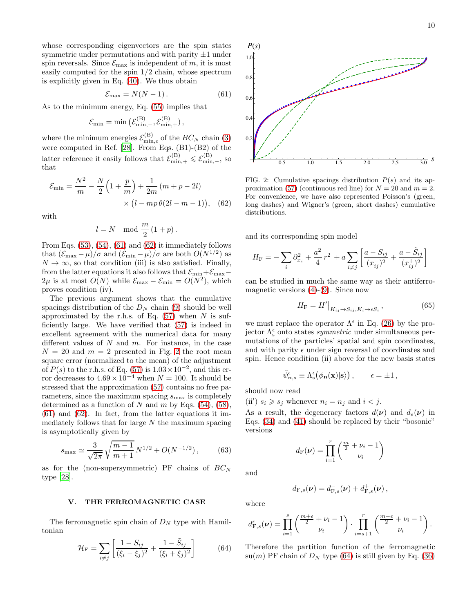whose corresponding eigenvectors are the spin states symmetric under permutations and with parity  $\pm 1$  under spin reversals. Since  $\mathcal{E}_{\text{max}}$  is independent of m, it is most easily computed for the spin 1/2 chain, whose spectrum is explicitly given in Eq. [\(40\)](#page-6-4). We thus obtain

<span id="page-9-1"></span>
$$
\mathcal{E}_{\text{max}} = N(N-1). \tag{61}
$$

As to the minimum energy, Eq. [\(55\)](#page-8-0) implies that

$$
\mathcal{E}_{\min} = \min\left(\mathcal{E}_{\min,-}^{(B)},\mathcal{E}_{\min,+}^{(B)}\right),
$$

where the minimum energies  $\mathcal{E}_{\min,\epsilon}^{(B)}$  of the  $BC_N$  chain [\(3\)](#page-1-2) were computed in Ref. [\[28\]](#page-10-27). From Eqs. (B1)-(B2) of the latter reference it easily follows that  $\mathcal{E}_{\min,+}^{(B)} \leq \mathcal{E}_{\min,-}^{(B)}$ , so that

$$
\mathcal{E}_{\min} = \frac{N^2}{m} - \frac{N}{2} \left( 1 + \frac{p}{m} \right) + \frac{1}{2m} \left( m + p - 2l \right) \times \left( l - mp \theta (2l - m - 1) \right), \quad (62)
$$

with

$$
l = N \mod \frac{m}{2} (1+p).
$$

From Eqs.  $(53)$ ,  $(54)$ ,  $(61)$  and  $(62)$  it immediately follows that  $(\mathcal{E}_{\text{max}} - \mu)/\sigma$  and  $(\mathcal{E}_{\text{min}} - \mu)/\sigma$  are both  $O(N^{1/2})$  as  $N \to \infty$ , so that condition (iii) is also satisfied. Finally, from the latter equations it also follows that  $\mathcal{E}_{\min}+\mathcal{E}_{\max} 2\mu$  is at most  $O(N)$  while  $\mathcal{E}_{\text{max}} - \mathcal{E}_{\text{min}} = O(N^2)$ , which proves condition (iv).

The previous argument shows that the cumulative spacings distribution of the  $D<sub>N</sub>$  chain [\(9\)](#page-2-0) should be well approximated by the r.h.s. of Eq.  $(57)$  when N is sufficiently large. We have verified that [\(57\)](#page-8-1) is indeed in excellent agreement with the numerical data for many different values of  $N$  and  $m$ . For instance, in the case  $N = 20$  $N = 20$  $N = 20$  and  $m = 2$  presented in Fig. 2 the root mean square error (normalized to the mean) of the adjustment of  $P(s)$  to the r.h.s. of Eq. [\(57\)](#page-8-1) is  $1.03 \times 10^{-2}$ , and this error decreases to  $4.69 \times 10^{-4}$  when  $N = 100$ . It should be stressed that the approximation [\(57\)](#page-8-1) contains no free parameters, since the maximum spacing  $s_{\text{max}}$  is completely determined as a function of N and  $m$  by Eqs. [\(54\)](#page-8-4), [\(58\)](#page-8-3),  $(61)$  and  $(62)$ . In fact, from the latter equations it immediately follows that for large  $N$  the maximum spacing is asymptotically given by

$$
s_{\max} \simeq \frac{3}{\sqrt{2\pi}} \sqrt{\frac{m-1}{m+1}} N^{1/2} + O(N^{-1/2}), \quad (63)
$$

as for the (non-supersymmetric) PF chains of  $BC_N$ type [\[28](#page-10-27)].

#### <span id="page-9-0"></span>V. THE FERROMAGNETIC CASE

The ferromagnetic spin chain of  $D<sub>N</sub>$  type with Hamiltonian

<span id="page-9-4"></span>
$$
\mathcal{H}_{\rm F} = \sum_{i \neq j} \left[ \frac{1 - S_{ij}}{(\xi_i - \xi_j)^2} + \frac{1 - \tilde{S}_{ij}}{(\xi_i + \xi_j)^2} \right] \tag{64}
$$



<span id="page-9-3"></span><span id="page-9-2"></span>FIG. 2: Cumulative spacings distribution  $P(s)$  and its ap-proximation [\(57\)](#page-8-1) (continuous red line) for  $N = 20$  and  $m = 2$ . For convenience, we have also represented Poisson's (green, long dashes) and Wigner's (green, short dashes) cumulative distributions.

and its corresponding spin model

$$
H_{\rm F} = -\sum_{i} \partial_{x_i}^{2} + \frac{a^2}{4} r^2 + a \sum_{i \neq j} \left[ \frac{a - S_{ij}}{(x_{ij}^{-})^2} + \frac{a - \tilde{S}_{ij}}{(x_{ij}^{+})^2} \right]
$$

can be studied in much the same way as their antiferromagnetic versions  $(4)-(9)$  $(4)-(9)$ . Since now

$$
H_{\mathcal{F}} = H'|_{K_{ij} \to S_{ij}, K_i \to \epsilon S_i},\tag{65}
$$

we must replace the operator  $\Lambda^{\epsilon}$  in Eq. [\(26\)](#page-4-0) by the projector  $\Lambda_{\rm s}^\epsilon$  onto states *symmetric* under simultaneous permutations of the particles' spatial and spin coordinates, and with parity  $\epsilon$  under sign reversal of coordinates and spin. Hence condition (ii) above for the new basis states

$$
\tilde{\psi}^{\epsilon}_{\mathbf{n},\mathbf{s}} \equiv \Lambda^{\epsilon}_{\mathbf{s}}(\phi_{\mathbf{n}}(\mathbf{x})|\mathbf{s}\rangle) , \qquad \epsilon = \pm 1 ,
$$

should now read

(ii')  $s_i \geq s_j$  whenever  $n_i = n_j$  and  $i < j$ .

As a result, the degeneracy factors  $d(\nu)$  and  $d_s(\nu)$  in Eqs. [\(34\)](#page-5-5) and [\(41\)](#page-6-5) should be replaced by their "bosonic" versions

$$
d_{\mathrm{F}}(\nu) = \prod_{i=1}^{r} \binom{\frac{m}{2} + \nu_i - 1}{\nu_i}
$$

and

$$
d_{\mathrm{F},s}(\boldsymbol{\nu}) = d_{\mathrm{F},s}^-(\boldsymbol{\nu}) + d_{\mathrm{F},s}^+(\boldsymbol{\nu}),
$$

where

$$
d_{\mathrm{F},s}^{\epsilon}(\nu) = \prod_{i=1}^{s} \binom{\frac{m+\epsilon}{2} + \nu_i - 1}{\nu_i} \cdot \prod_{i=s+1}^{r} \binom{\frac{m-\epsilon}{2} + \nu_i - 1}{\nu_i}.
$$

Therefore the partition function of the ferromagnetic  $su(m)$  PF chain of  $D<sub>N</sub>$  type [\(64\)](#page-9-4) is still given by Eq. [\(36\)](#page-5-6)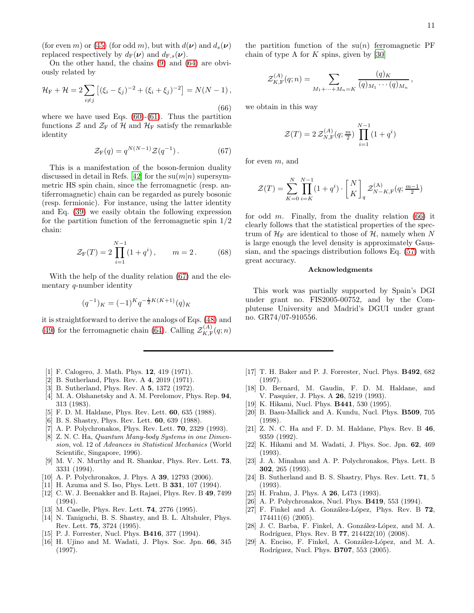(for even m) or [\(45\)](#page-6-2) (for odd m), but with  $d(\nu)$  and  $d_s(\nu)$ replaced respectively by  $d_F(\nu)$  and  $d_{F,s}(\nu)$ .

On the other hand, the chains [\(9\)](#page-2-0) and [\(64\)](#page-9-4) are obviously related by

<span id="page-10-30"></span>
$$
\mathcal{H}_{\rm F} + \mathcal{H} = 2 \sum_{i \neq j} \left[ (\xi_i - \xi_j)^{-2} + (\xi_i + \xi_j)^{-2} \right] = N(N - 1),
$$
\n(66)

where we have used Eqs.  $(60)-(61)$  $(60)-(61)$ . Thus the partition functions  $\mathcal{Z}$  and  $\mathcal{Z}_F$  of  $\mathcal{H}$  and  $\mathcal{H}_F$  satisfy the remarkable identity

<span id="page-10-29"></span>
$$
\mathcal{Z}_{\mathcal{F}}(q) = q^{N(N-1)} \mathcal{Z}(q^{-1}). \tag{67}
$$

This is a manifestation of the boson-fermion duality discussed in detail in Refs. [\[42\]](#page-11-12) for the  $su(m|n)$  supersymmetric HS spin chain, since the ferromagnetic (resp. antiferromagnetic) chain can be regarded as purely bosonic (resp. fermionic). For instance, using the latter identity and Eq. [\(39\)](#page-6-6) we easily obtain the following expression for the partition function of the ferromagnetic spin  $1/2$ chain:

$$
\mathcal{Z}_{\mathcal{F}}(T) = 2 \prod_{i=1}^{N-1} (1 + q^i), \qquad m = 2. \tag{68}
$$

With the help of the duality relation [\(67\)](#page-10-29) and the elementary q-number identity

$$
(q^{-1})_K = (-1)^K q^{-\frac{1}{2}K(K+1)}(q)_K
$$

it is straightforward to derive the analogs of Eqs. [\(48\)](#page-7-1) and [\(49\)](#page-7-6) for the ferromagnetic chain [\(64\)](#page-9-4). Calling  $\mathcal{Z}_{K,\mathrm{F}}^{(A)}$  $K_{\rm F}^{\rm (A)}(q;n)$ 

- <span id="page-10-0"></span>[1] F. Calogero, J. Math. Phys. **12**, 419 (1971).
- <span id="page-10-1"></span>[2] B. Sutherland, Phys. Rev. A 4, 2019 (1971).
- <span id="page-10-2"></span>[3] B. Sutherland, Phys. Rev. A 5, 1372 (1972).
- <span id="page-10-3"></span>[4] M. A. Olshanetsky and A. M. Perelomov, Phys. Rep. 94, 313 (1983).
- <span id="page-10-4"></span>[5] F. D. M. Haldane, Phys. Rev. Lett. 60, 635 (1988).
- <span id="page-10-5"></span>[6] B. S. Shastry, Phys. Rev. Lett. 60, 639 (1988).
- <span id="page-10-6"></span>[7] A. P. Polychronakos, Phys. Rev. Lett. **70**, 2329 (1993).
- <span id="page-10-7"></span>[8] Z. N. C. Ha, Quantum Many-body Systems in one Dimension, vol. 12 of Advances in Statistical Mechanics (World Scientific, Singapore, 1996).
- <span id="page-10-8"></span>[9] M. V. N. Murthy and R. Shankar, Phys. Rev. Lett. 73, 3331 (1994).
- <span id="page-10-9"></span>[10] A. P. Polychronakos, J. Phys. A 39, 12793 (2006).
- <span id="page-10-10"></span>[11] H. Azuma and S. Iso, Phys. Lett. B 331, 107 (1994).
- <span id="page-10-11"></span>[12] C. W. J. Beenakker and B. Rajaei, Phys. Rev. B 49, 7499 (1994).
- <span id="page-10-12"></span>[13] M. Caselle, Phys. Rev. Lett. 74, 2776 (1995).
- <span id="page-10-13"></span>[14] N. Taniguchi, B. S. Shastry, and B. L. Altshuler, Phys. Rev. Lett. 75, 3724 (1995).
- <span id="page-10-14"></span>[15] P. J. Forrester, Nucl. Phys. **B416**, 377 (1994).
- <span id="page-10-15"></span>[16] H. Ujino and M. Wadati, J. Phys. Soc. Jpn. 66, 345 (1997).

the partition function of the  $su(n)$  ferromagnetic PF chain of type A for  $K$  spins, given by [\[30\]](#page-11-0)

$$
\mathcal{Z}_{K,\mathrm{F}}^{(A)}(q;n) = \sum_{M_1 + \dots + M_n = K} \frac{(q)_K}{(q)_{M_1} \cdots (q)_{M_n}},
$$

we obtain in this way

$$
\mathcal{Z}(T) = 2 \mathcal{Z}_{N,\mathrm{F}}^{(A)}(q; \tfrac{m}{2}) \prod_{i=1}^{N-1} (1 + q^i)
$$

for even  $m$ , and

$$
\mathcal{Z}(T) = \sum_{K=0}^{N} \prod_{i=K}^{N-1} (1 + q^i) \cdot \binom{N}{K}_q \mathcal{Z}_{N-K,\mathrm{F}}^{(\mathrm{A})}(q; \frac{m-1}{2})
$$

for odd m. Finally, from the duality relation  $(66)$  it clearly follows that the statistical properties of the spectrum of  $\mathcal{H}_{\mathrm{F}}$  are identical to those of  $\mathcal{H}$ , namely when N is large enough the level density is approximately Gaussian, and the spacings distribution follows Eq. [\(57\)](#page-8-1) with great accuracy.

#### Acknowledgments

This work was partially supported by Spain's DGI under grant no. FIS2005-00752, and by the Complutense University and Madrid's DGUI under grant no. GR74/07-910556.

- <span id="page-10-16"></span>[17] T. H. Baker and P. J. Forrester, Nucl. Phys. B492, 682 (1997).
- <span id="page-10-17"></span>[18] D. Bernard, M. Gaudin, F. D. M. Haldane, and V. Pasquier, J. Phys. A **26**, 5219 (1993).
- <span id="page-10-18"></span>[19] K. Hikami, Nucl. Phys. **B441**, 530 (1995).
- <span id="page-10-19"></span>[20] B. Basu-Mallick and A. Kundu, Nucl. Phys. B509, 705 (1998).
- <span id="page-10-20"></span>[21] Z. N. C. Ha and F. D. M. Haldane, Phys. Rev. B 46, 9359 (1992).
- <span id="page-10-21"></span>[22] K. Hikami and M. Wadati, J. Phys. Soc. Jpn. 62, 469 (1993).
- <span id="page-10-22"></span>[23] J. A. Minahan and A. P. Polychronakos, Phys. Lett. B 302, 265 (1993).
- <span id="page-10-23"></span>[24] B. Sutherland and B. S. Shastry, Phys. Rev. Lett. 71, 5 (1993).
- <span id="page-10-24"></span>[25] H. Frahm, J. Phys. A **26**, L473 (1993).
- <span id="page-10-25"></span>[26] A. P. Polychronakos, Nucl. Phys. B419, 553 (1994).
- <span id="page-10-26"></span>[27] F. Finkel and A. González-López, Phys. Rev. B  $72$ , 174411(6) (2005).
- <span id="page-10-27"></span>[28] J. C. Barba, F. Finkel, A. González-López, and M. A. Rodríguez, Phys. Rev. B **77**, 214422(10) (2008).
- <span id="page-10-28"></span>[29] A. Enciso, F. Finkel, A. González-López, and M. A. Rodríguez, Nucl. Phys. **B707**, 553 (2005).